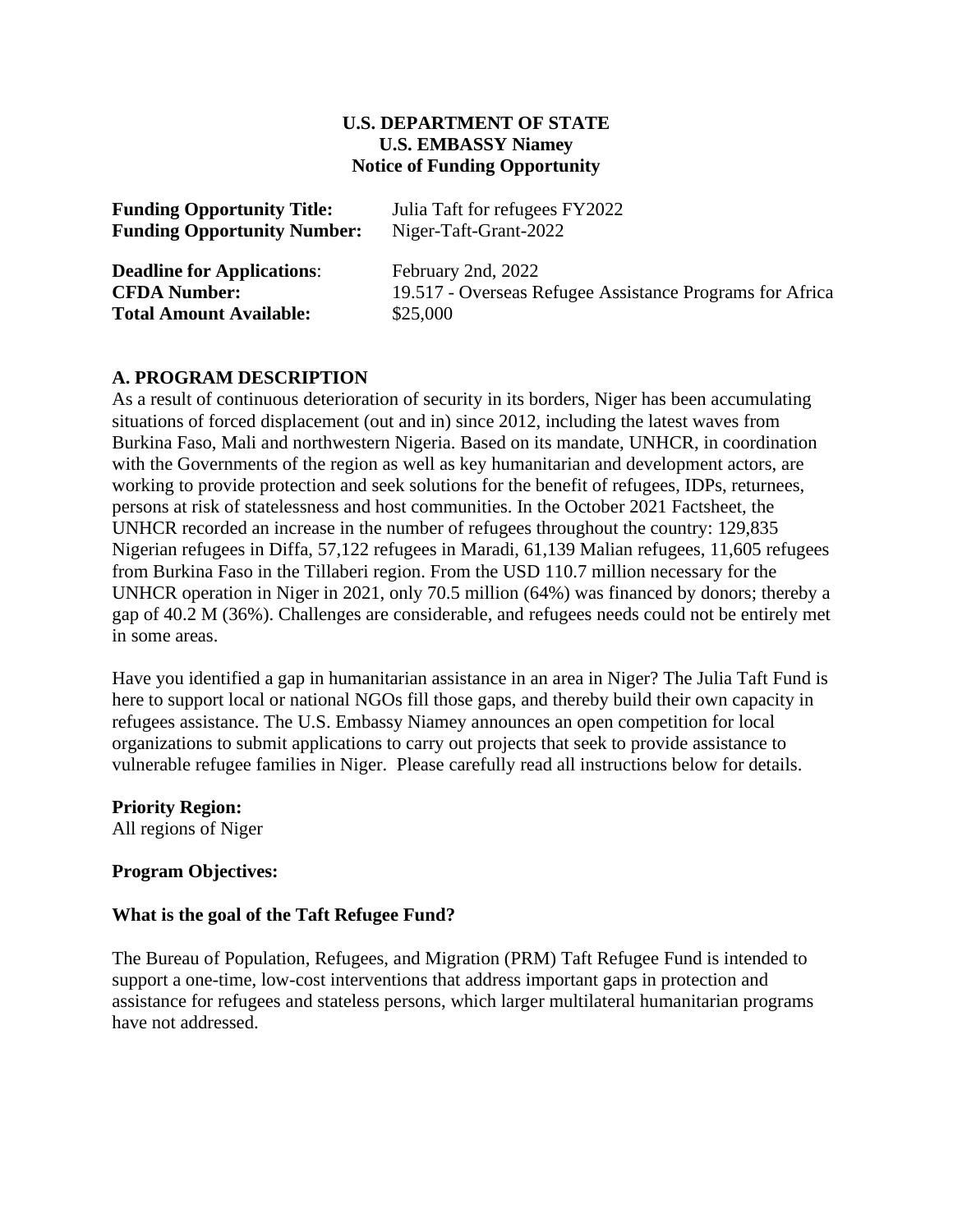#### **U.S. DEPARTMENT OF STATE U.S. EMBASSY Niamey Notice of Funding Opportunity**

| <b>Funding Opportunity Title:</b><br><b>Funding Opportunity Number:</b> | Julia Taft for refugees FY2022<br>Niger-Taft-Grant-2022  |
|-------------------------------------------------------------------------|----------------------------------------------------------|
|                                                                         |                                                          |
| <b>CFDA Number:</b>                                                     | 19.517 - Overseas Refugee Assistance Programs for Africa |
| <b>Total Amount Available:</b>                                          | \$25,000                                                 |

#### **A. PROGRAM DESCRIPTION**

As a result of continuous deterioration of security in its borders, Niger has been accumulating situations of forced displacement (out and in) since 2012, including the latest waves from Burkina Faso, Mali and northwestern Nigeria. Based on its mandate, UNHCR, in coordination with the Governments of the region as well as key humanitarian and development actors, are working to provide protection and seek solutions for the benefit of refugees, IDPs, returnees, persons at risk of statelessness and host communities. In the October 2021 Factsheet, the UNHCR recorded an increase in the number of refugees throughout the country: 129,835 Nigerian refugees in Diffa, 57,122 refugees in Maradi, 61,139 Malian refugees, 11,605 refugees from Burkina Faso in the Tillaberi region. From the USD 110.7 million necessary for the UNHCR operation in Niger in 2021, only 70.5 million (64%) was financed by donors; thereby a gap of 40.2 M (36%). Challenges are considerable, and refugees needs could not be entirely met in some areas.

Have you identified a gap in humanitarian assistance in an area in Niger? The Julia Taft Fund is here to support local or national NGOs fill those gaps, and thereby build their own capacity in refugees assistance. The U.S. Embassy Niamey announces an open competition for local organizations to submit applications to carry out projects that seek to provide assistance to vulnerable refugee families in Niger. Please carefully read all instructions below for details.

#### **Priority Region:**

All regions of Niger

#### **Program Objectives:**

#### **What is the goal of the Taft Refugee Fund?**

The Bureau of Population, Refugees, and Migration (PRM) Taft Refugee Fund is intended to support a one-time, low-cost interventions that address important gaps in protection and assistance for refugees and stateless persons, which larger multilateral humanitarian programs have not addressed.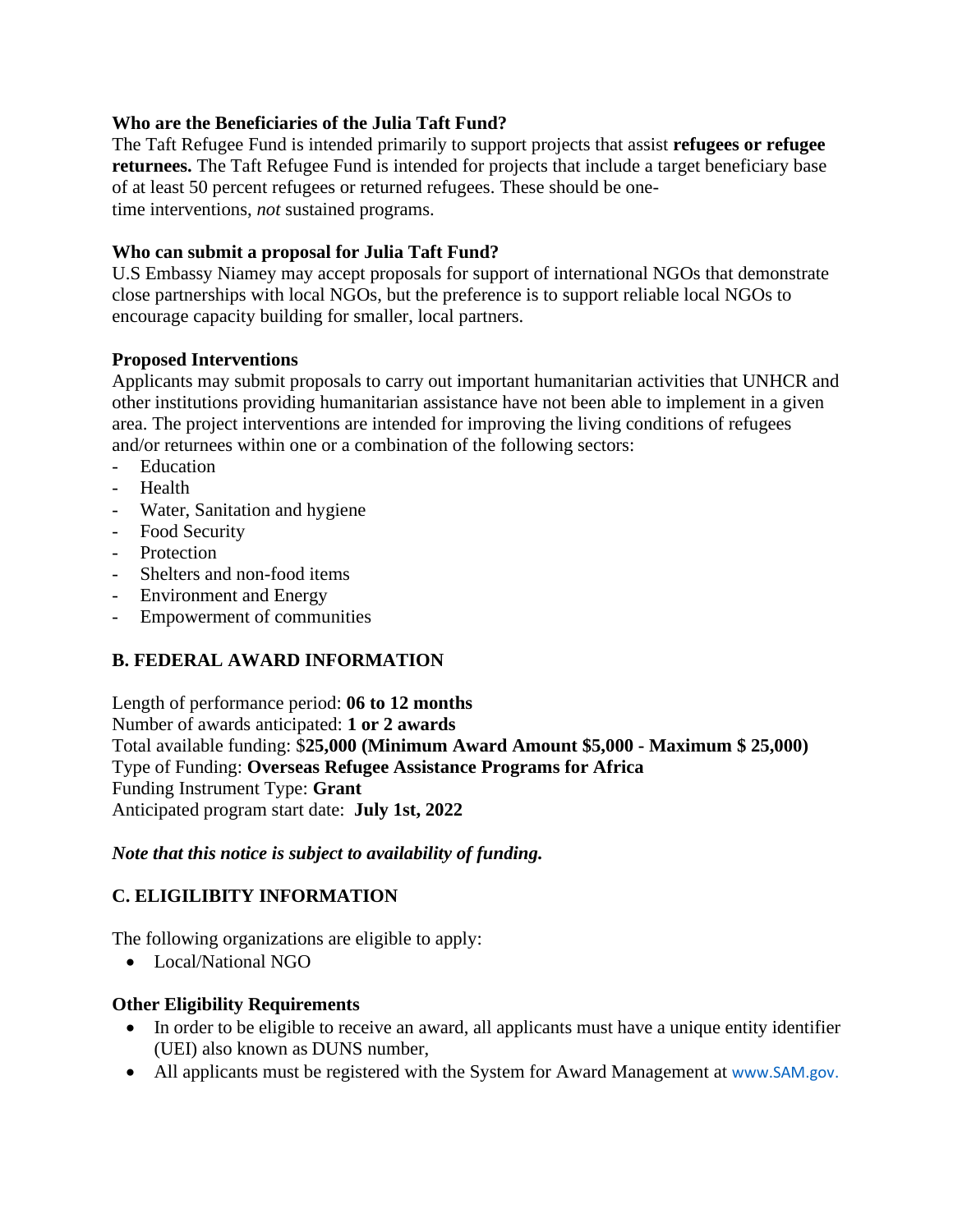### **Who are the Beneficiaries of the Julia Taft Fund?**

The Taft Refugee Fund is intended primarily to support projects that assist **refugees or refugee returnees.** The Taft Refugee Fund is intended for projects that include a target beneficiary base of at least 50 percent refugees or returned refugees. These should be onetime interventions, *not* sustained programs.

### **Who can submit a proposal for Julia Taft Fund?**

U.S Embassy Niamey may accept proposals for support of international NGOs that demonstrate close partnerships with local NGOs, but the preference is to support reliable local NGOs to encourage capacity building for smaller, local partners.

### **Proposed Interventions**

Applicants may submit proposals to carry out important humanitarian activities that UNHCR and other institutions providing humanitarian assistance have not been able to implement in a given area. The project interventions are intended for improving the living conditions of refugees and/or returnees within one or a combination of the following sectors:

- Education
- Health
- Water, Sanitation and hygiene
- Food Security
- Protection
- Shelters and non-food items
- Environment and Energy
- Empowerment of communities

# **B. FEDERAL AWARD INFORMATION**

Length of performance period: **06 to 12 months** Number of awards anticipated: **1 or 2 awards** Total available funding: \$**25,000 (Minimum Award Amount \$5,000 - Maximum \$ 25,000)** Type of Funding: **Overseas Refugee Assistance Programs for Africa** Funding Instrument Type: **Grant** Anticipated program start date: **July 1st, 2022**

### *Note that this notice is subject to availability of funding.*

# **C. ELIGILIBITY INFORMATION**

The following organizations are eligible to apply:

• Local/National NGO

# **Other Eligibility Requirements**

- In order to be eligible to receive an award, all applicants must have a unique entity identifier (UEI) also known as DUNS number,
- All applicants must be registered with the System for Award Management at www.SAM.gov.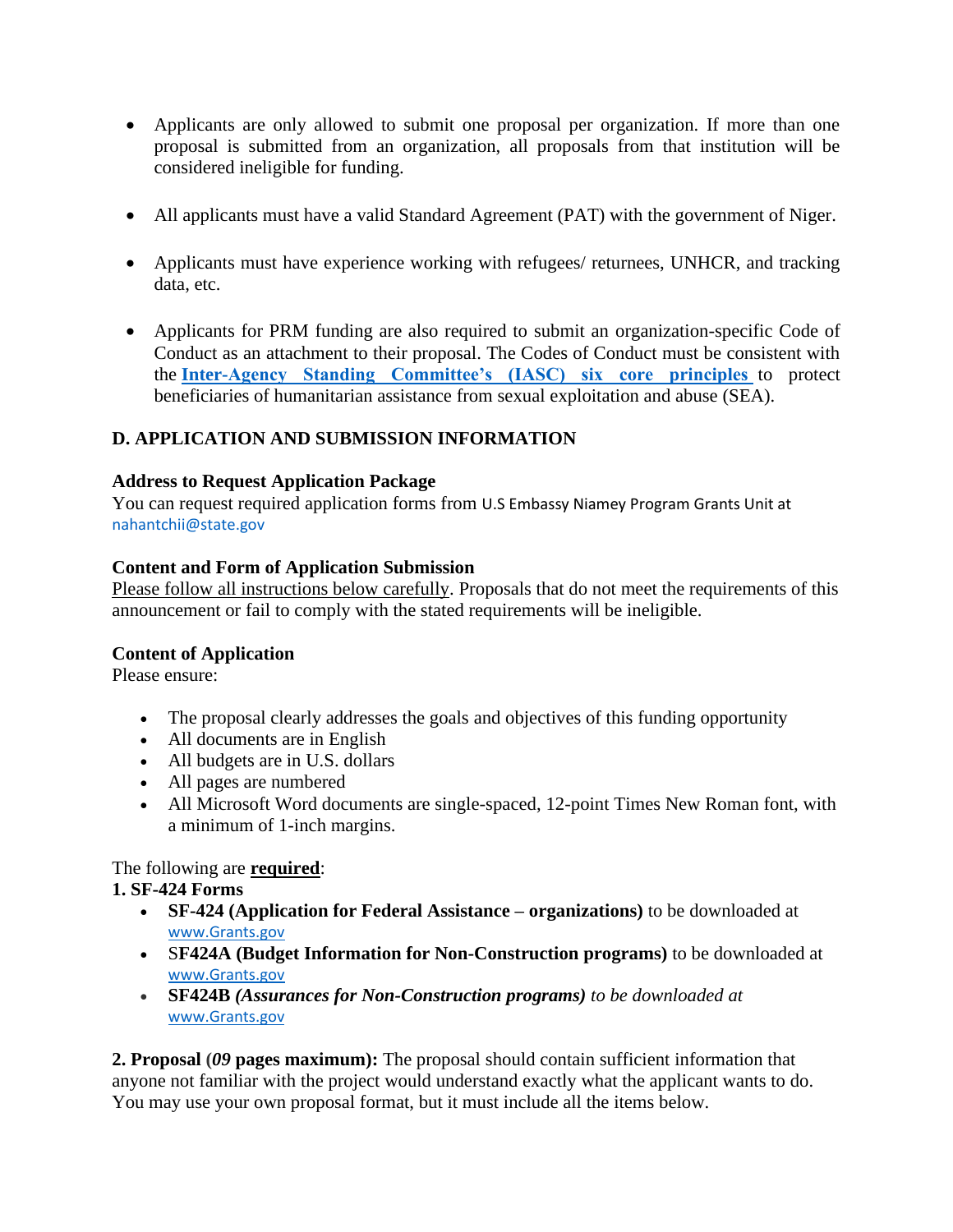- Applicants are only allowed to submit one proposal per organization. If more than one proposal is submitted from an organization, all proposals from that institution will be considered ineligible for funding.
- All applicants must have a valid Standard Agreement (PAT) with the government of Niger.
- Applicants must have experience working with refugees/ returnees, UNHCR, and tracking data, etc.
- Applicants for PRM funding are also required to submit an organization-specific Code of Conduct as an attachment to their proposal. The Codes of Conduct must be consistent with the **[Inter-Agency Standing Committee's \(IASC\) six core principles](https://interagencystandingcommittee.org/principals/news-public/iasc-six-core-principles-relating-sexual-exploitation-and-abuse-2002)** to protect beneficiaries of humanitarian assistance from sexual exploitation and abuse (SEA).

# **D. APPLICATION AND SUBMISSION INFORMATION**

### **Address to Request Application Package**

You can request required application forms from U.S Embassy Niamey Program Grants Unit at nahantchii@state.gov

### **Content and Form of Application Submission**

Please follow all instructions below carefully. Proposals that do not meet the requirements of this announcement or fail to comply with the stated requirements will be ineligible.

### **Content of Application**

Please ensure:

- The proposal clearly addresses the goals and objectives of this funding opportunity
- All documents are in English
- All budgets are in U.S. dollars
- All pages are numbered
- All Microsoft Word documents are single-spaced, 12-point Times New Roman font, with a minimum of 1-inch margins.

# The following are **required**:

# **1. SF-424 Forms**

- **SF-424 (Application for Federal Assistance – organizations)** to be downloaded at [www.Grants.gov](https://www.grants.gov/web/grants/forms/sf-424-family.html)
- S**F424A (Budget Information for Non-Construction programs)** to be downloaded at [www.Grants.gov](https://www.grants.gov/web/grants/forms/sf-424-family.html)
- **SF424B** *(Assurances for Non-Construction programs) to be downloaded at* [www.Grants.gov](https://www.grants.gov/web/grants/forms/sf-424-family.html)

**2. Proposal (***09* **pages maximum):** The proposal should contain sufficient information that anyone not familiar with the project would understand exactly what the applicant wants to do. You may use your own proposal format, but it must include all the items below.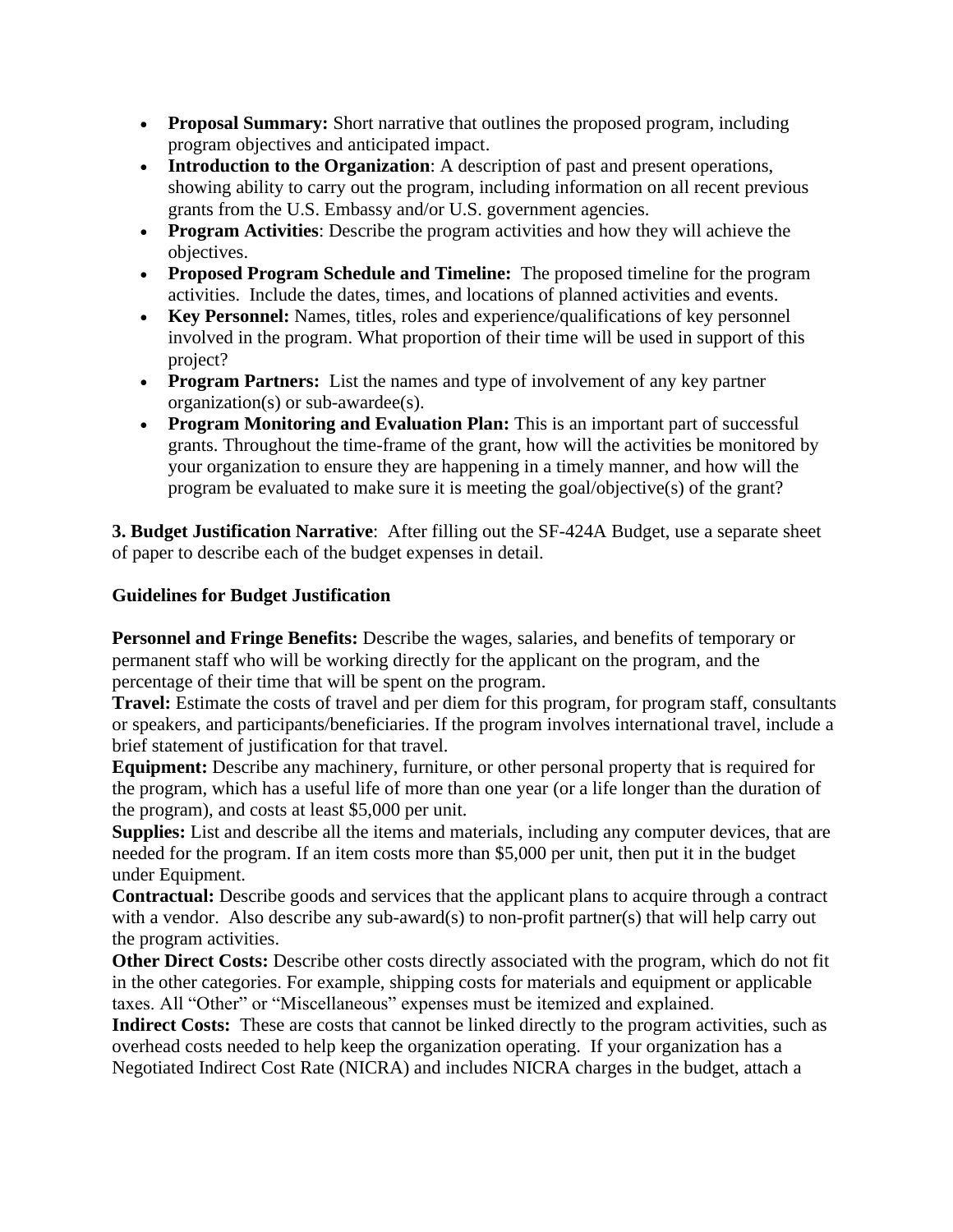- **Proposal Summary:** Short narrative that outlines the proposed program, including program objectives and anticipated impact.
- **Introduction to the Organization**: A description of past and present operations, showing ability to carry out the program, including information on all recent previous grants from the U.S. Embassy and/or U.S. government agencies.
- **Program Activities**: Describe the program activities and how they will achieve the objectives.
- **Proposed Program Schedule and Timeline:** The proposed timeline for the program activities. Include the dates, times, and locations of planned activities and events.
- **Key Personnel:** Names, titles, roles and experience/qualifications of key personnel involved in the program. What proportion of their time will be used in support of this project?
- **Program Partners:** List the names and type of involvement of any key partner organization(s) or sub-awardee(s).
- **Program Monitoring and Evaluation Plan:** This is an important part of successful grants. Throughout the time-frame of the grant, how will the activities be monitored by your organization to ensure they are happening in a timely manner, and how will the program be evaluated to make sure it is meeting the goal/objective(s) of the grant?

**3. Budget Justification Narrative**: After filling out the SF-424A Budget, use a separate sheet of paper to describe each of the budget expenses in detail.

### **Guidelines for Budget Justification**

**Personnel and Fringe Benefits:** Describe the wages, salaries, and benefits of temporary or permanent staff who will be working directly for the applicant on the program, and the percentage of their time that will be spent on the program.

**Travel:** Estimate the costs of travel and per diem for this program, for program staff, consultants or speakers, and participants/beneficiaries. If the program involves international travel, include a brief statement of justification for that travel.

**Equipment:** Describe any machinery, furniture, or other personal property that is required for the program, which has a useful life of more than one year (or a life longer than the duration of the program), and costs at least \$5,000 per unit.

**Supplies:** List and describe all the items and materials, including any computer devices, that are needed for the program. If an item costs more than \$5,000 per unit, then put it in the budget under Equipment.

**Contractual:** Describe goods and services that the applicant plans to acquire through a contract with a vendor. Also describe any sub-award(s) to non-profit partner(s) that will help carry out the program activities.

**Other Direct Costs:** Describe other costs directly associated with the program, which do not fit in the other categories. For example, shipping costs for materials and equipment or applicable taxes. All "Other" or "Miscellaneous" expenses must be itemized and explained.

**Indirect Costs:** These are costs that cannot be linked directly to the program activities, such as overhead costs needed to help keep the organization operating. If your organization has a Negotiated Indirect Cost Rate (NICRA) and includes NICRA charges in the budget, attach a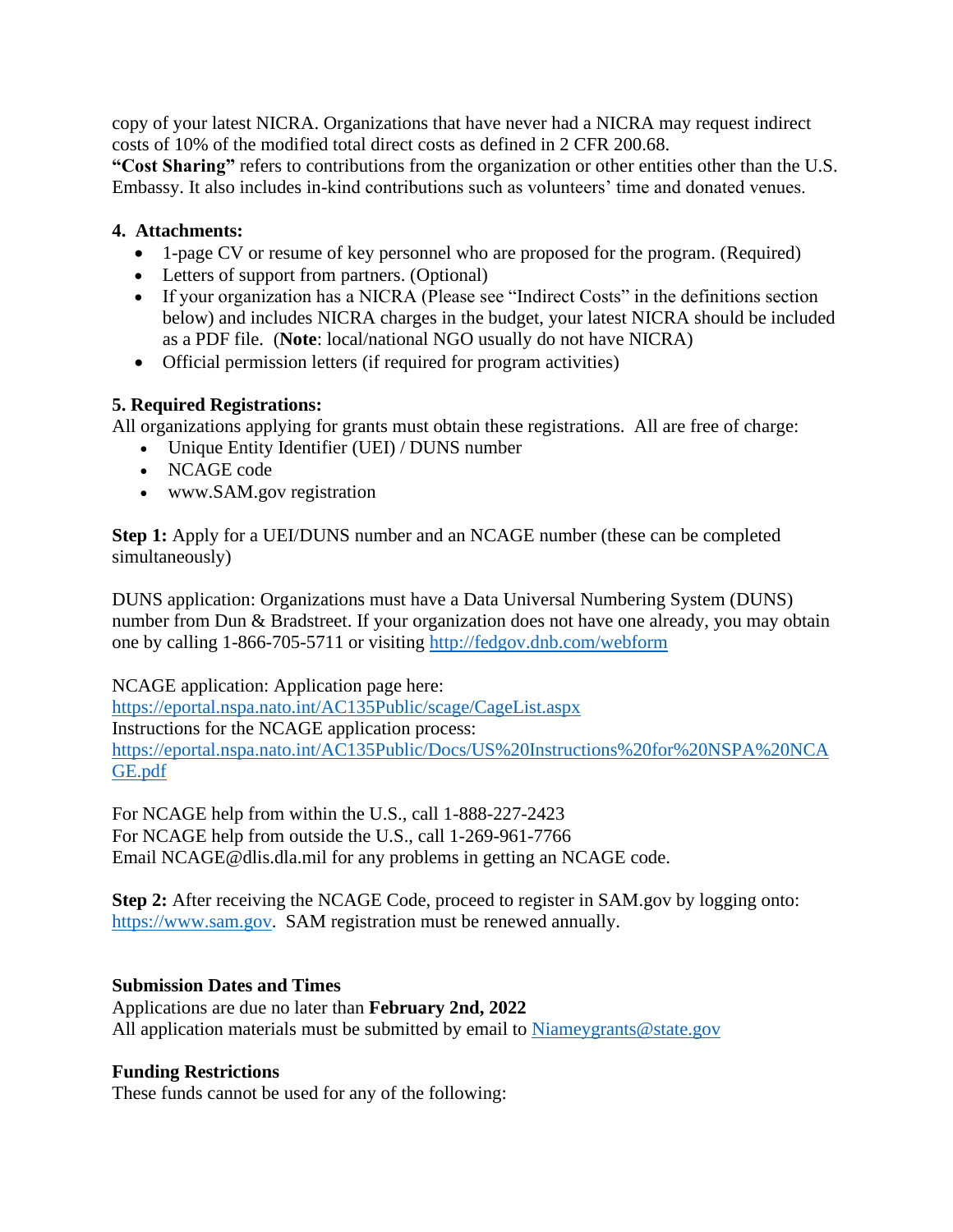copy of your latest NICRA. Organizations that have never had a NICRA may request indirect costs of 10% of the modified total direct costs as defined in 2 CFR 200.68.

**"Cost Sharing"** refers to contributions from the organization or other entities other than the U.S. Embassy. It also includes in-kind contributions such as volunteers' time and donated venues.

### **4. Attachments:**

- 1-page CV or resume of key personnel who are proposed for the program. (Required)
- Letters of support from partners. (Optional)
- If your organization has a NICRA (Please see "Indirect Costs" in the definitions section below) and includes NICRA charges in the budget, your latest NICRA should be included as a PDF file. (**Note**: local/national NGO usually do not have NICRA)
- Official permission letters (if required for program activities)

### **5. Required Registrations:**

All organizations applying for grants must obtain these registrations. All are free of charge:

- Unique Entity Identifier (UEI) / DUNS number
- NCAGE code
- www.SAM.gov registration

**Step 1:** Apply for a UEI/DUNS number and an NCAGE number (these can be completed simultaneously)

DUNS application: Organizations must have a Data Universal Numbering System (DUNS) number from Dun & Bradstreet. If your organization does not have one already, you may obtain one by calling 1-866-705-5711 or visiting<http://fedgov.dnb.com/webform>

NCAGE application: Application page here:

<https://eportal.nspa.nato.int/AC135Public/scage/CageList.aspx> Instructions for the NCAGE application process: [https://eportal.nspa.nato.int/AC135Public/Docs/US%20Instructions%20for%20NSPA%20NCA](https://eportal.nspa.nato.int/AC135Public/Docs/US%20Instructions%20for%20NSPA%20NCAGE.pdf) [GE.pdf](https://eportal.nspa.nato.int/AC135Public/Docs/US%20Instructions%20for%20NSPA%20NCAGE.pdf)

For NCAGE help from within the U.S., call 1-888-227-2423 For NCAGE help from outside the U.S., call 1-269-961-7766 Email NCAGE@dlis.dla.mil for any problems in getting an NCAGE code.

**Step 2:** After receiving the NCAGE Code, proceed to register in SAM.gov by logging onto: [https://www.sam.gov.](https://www.sam.gov/) SAM registration must be renewed annually.

#### **Submission Dates and Times**

Applications are due no later than **February 2nd, 2022** All application materials must be submitted by email to [Niameygrants@state.gov](mailto:Niameygrants@state.gov)

### **Funding Restrictions**

These funds cannot be used for any of the following: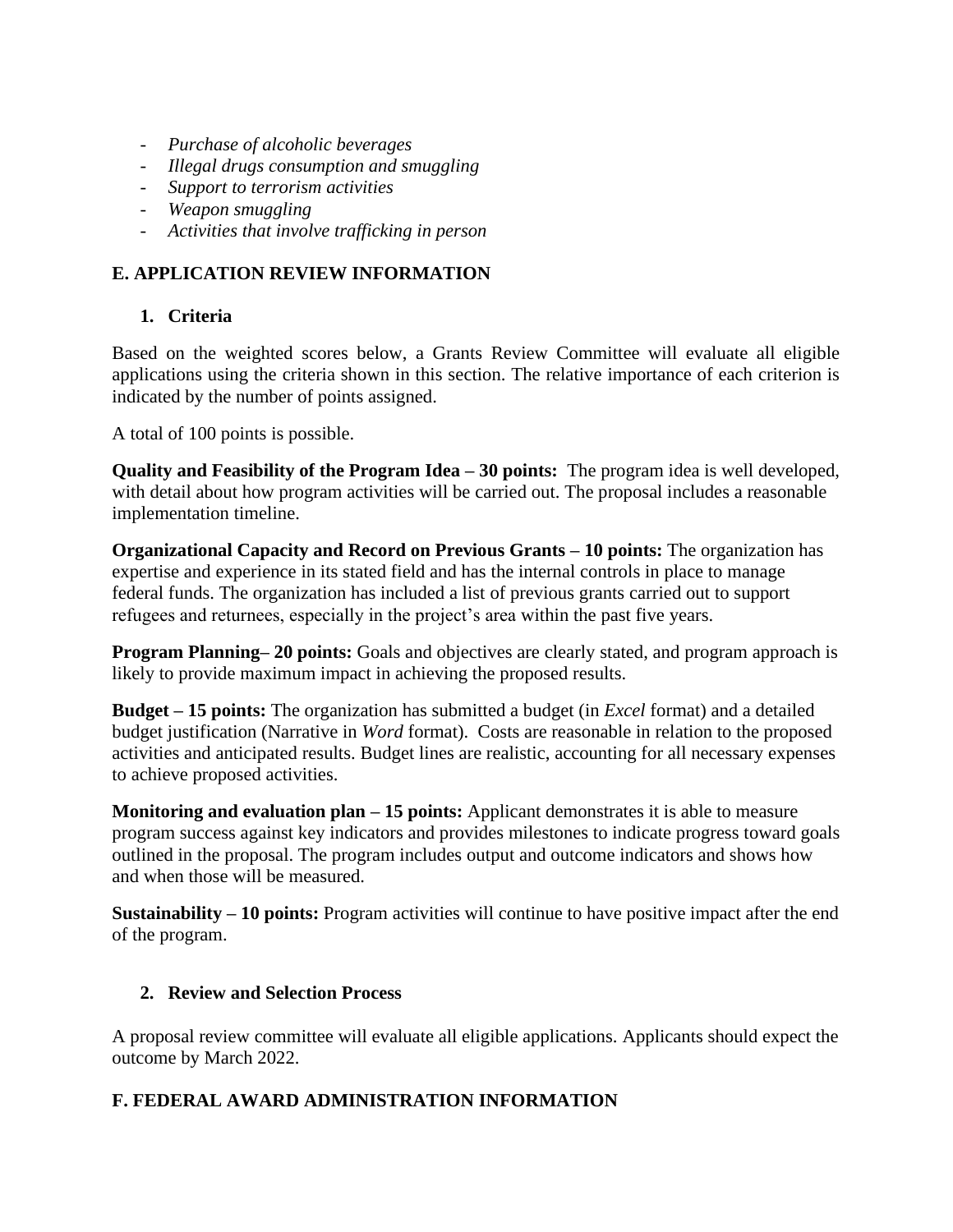- *Purchase of alcoholic beverages*
- *Illegal drugs consumption and smuggling*
- *Support to terrorism activities*
- *Weapon smuggling*
- *Activities that involve trafficking in person*

# **E. APPLICATION REVIEW INFORMATION**

# **1. Criteria**

Based on the weighted scores below, a Grants Review Committee will evaluate all eligible applications using the criteria shown in this section. The relative importance of each criterion is indicated by the number of points assigned.

A total of 100 points is possible.

**Quality and Feasibility of the Program Idea – 30 points:** The program idea is well developed, with detail about how program activities will be carried out. The proposal includes a reasonable implementation timeline.

**Organizational Capacity and Record on Previous Grants – 10 points:** The organization has expertise and experience in its stated field and has the internal controls in place to manage federal funds. The organization has included a list of previous grants carried out to support refugees and returnees, especially in the project's area within the past five years.

**Program Planning– 20 points:** Goals and objectives are clearly stated, and program approach is likely to provide maximum impact in achieving the proposed results.

**Budget – 15 points:** The organization has submitted a budget (in *Excel* format) and a detailed budget justification (Narrative in *Word* format). Costs are reasonable in relation to the proposed activities and anticipated results. Budget lines are realistic, accounting for all necessary expenses to achieve proposed activities.

**Monitoring and evaluation plan – 15 points:** Applicant demonstrates it is able to measure program success against key indicators and provides milestones to indicate progress toward goals outlined in the proposal. The program includes output and outcome indicators and shows how and when those will be measured.

**Sustainability – 10 points:** Program activities will continue to have positive impact after the end of the program.

### **2. Review and Selection Process**

A proposal review committee will evaluate all eligible applications. Applicants should expect the outcome by March 2022.

# **F. FEDERAL AWARD ADMINISTRATION INFORMATION**